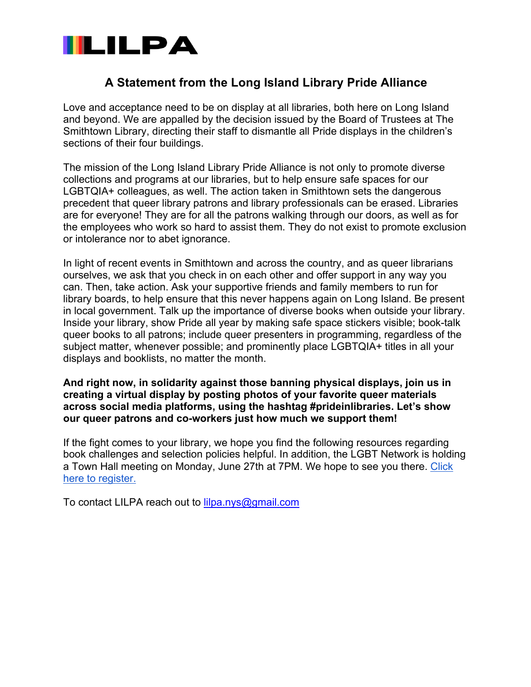

# **A Statement from the Long Island Library Pride Alliance**

Love and acceptance need to be on display at all libraries, both here on Long Island and beyond. We are appalled by the decision issued by the Board of Trustees at The Smithtown Library, directing their staff to dismantle all Pride displays in the children's sections of their four buildings.

The mission of the Long Island Library Pride Alliance is not only to promote diverse collections and programs at our libraries, but to help ensure safe spaces for our LGBTQIA+ colleagues, as well. The action taken in Smithtown sets the dangerous precedent that queer library patrons and library professionals can be erased. Libraries are for everyone! They are for all the patrons walking through our doors, as well as for the employees who work so hard to assist them. They do not exist to promote exclusion or intolerance nor to abet ignorance.

In light of recent events in Smithtown and across the country, and as queer librarians ourselves, we ask that you check in on each other and offer support in any way you can. Then, take action. Ask your supportive friends and family members to run for library boards, to help ensure that this never happens again on Long Island. Be present in local government. Talk up the importance of diverse books when outside your library. Inside your library, show Pride all year by making safe space stickers visible; book-talk queer books to all patrons; include queer presenters in programming, regardless of the subject matter, whenever possible; and prominently place LGBTQIA+ titles in all your displays and booklists, no matter the month.

**And right now, in solidarity against those banning physical displays, join us in creating a virtual display by posting photos of your favorite queer materials across social media platforms, using the hashtag #prideinlibraries. Let's show our queer patrons and co-workers just how much we support them!**

If the fight comes to your library, we hope you find the following resources regarding book challenges and selection policies helpful. In addition, the LGBT Network is holding a Town Hall meeting on Monday, June 27th at 7PM. We hope to see you there. Click here to register.

To contact LILPA reach out to lilpa.nys@gmail.com